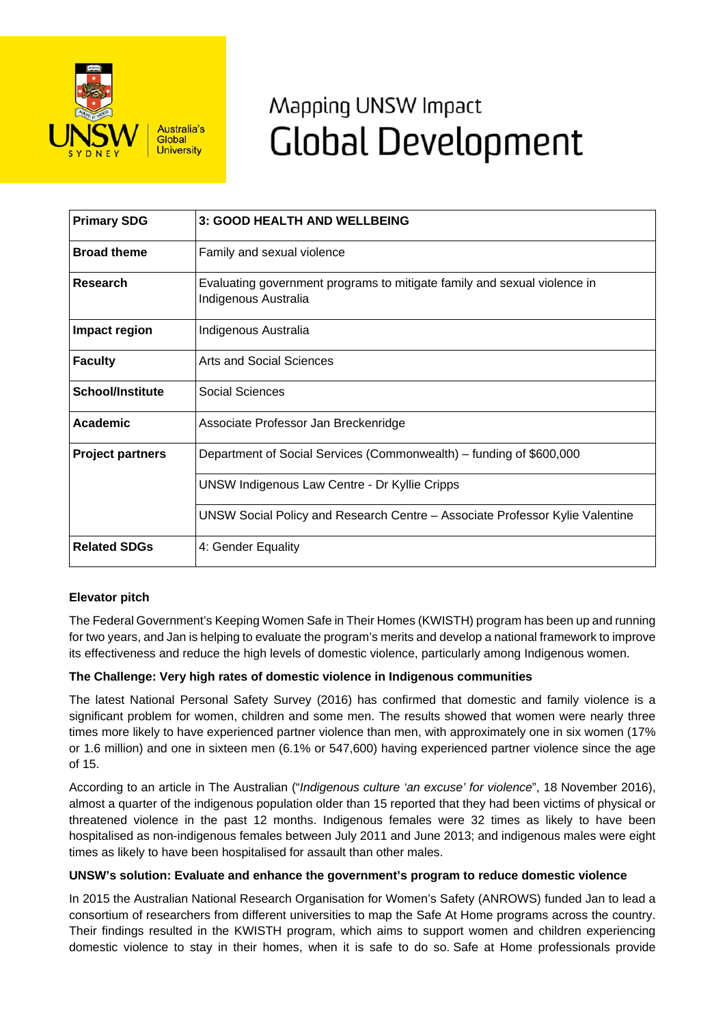

# Mapping UNSW Impact **Global Development**

| <b>Primary SDG</b>      | 3: GOOD HEALTH AND WELLBEING                                                                     |
|-------------------------|--------------------------------------------------------------------------------------------------|
| <b>Broad theme</b>      | Family and sexual violence                                                                       |
| <b>Research</b>         | Evaluating government programs to mitigate family and sexual violence in<br>Indigenous Australia |
| Impact region           | Indigenous Australia                                                                             |
| <b>Faculty</b>          | Arts and Social Sciences                                                                         |
| <b>School/Institute</b> | Social Sciences                                                                                  |
| <b>Academic</b>         | Associate Professor Jan Breckenridge                                                             |
| <b>Project partners</b> | Department of Social Services (Commonwealth) - funding of \$600,000                              |
|                         | <b>UNSW Indigenous Law Centre - Dr Kyllie Cripps</b>                                             |
|                         | UNSW Social Policy and Research Centre – Associate Professor Kylie Valentine                     |
| <b>Related SDGs</b>     | 4: Gender Equality                                                                               |

## **Elevator pitch**

The Federal Government's Keeping Women Safe in Their Homes (KWISTH) program has been up and running for two years, and Jan is helping to evaluate the program's merits and develop a national framework to improve its effectiveness and reduce the high levels of domestic violence, particularly among Indigenous women.

## **The Challenge: Very high rates of domestic violence in Indigenous communities**

The latest National Personal Safety Survey (2016) has confirmed that domestic and family violence is a significant problem for women, children and some men. The results showed that women were nearly three times more likely to have experienced partner violence than men, with approximately one in six women (17% or 1.6 million) and one in sixteen men (6.1% or 547,600) having experienced partner violence since the age of 15.

According to an article in The Australian ("*Indigenous culture 'an excuse' for violence*", 18 November 2016), almost a quarter of the indigenous population older than 15 reported that they had been victims of physical or threatened violence in the past 12 months. Indigenous females were 32 times as likely to have been hospitalised as non-indigenous females between July 2011 and June 2013; and indigenous males were eight times as likely to have been hospitalised for assault than other males.

### **UNSW's solution: Evaluate and enhance the government's program to reduce domestic violence**

In 2015 the Australian National Research Organisation for Women's Safety (ANROWS) funded Jan to lead a consortium of researchers from different universities to map the Safe At Home programs across the country. Their findings resulted in the KWISTH program, which aims to support women and children experiencing domestic violence to stay in their homes, when it is safe to do so. Safe at Home professionals provide